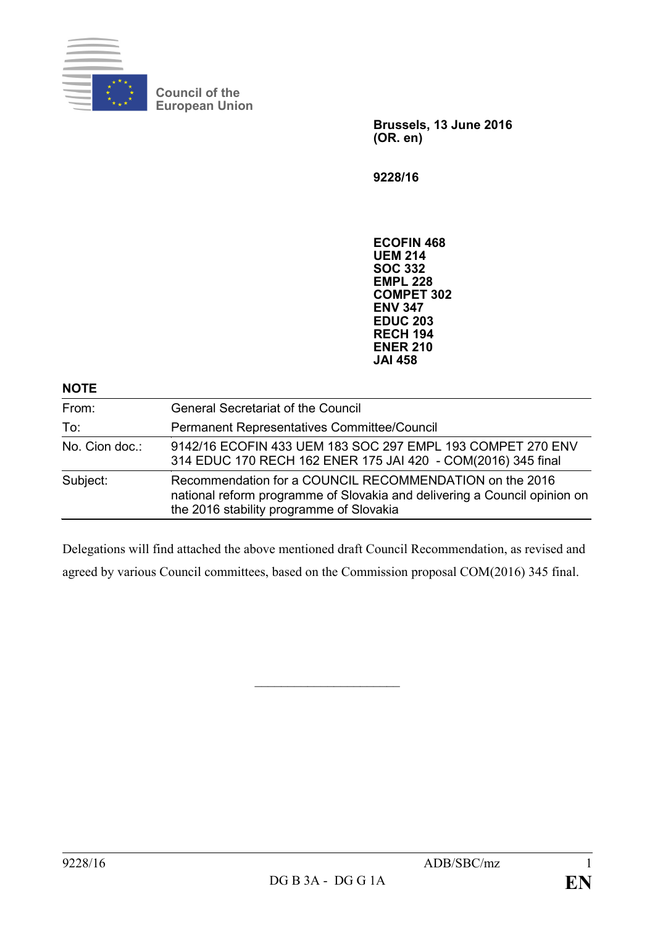

**Council of the European Union**

> **Brussels, 13 June 2016 (OR. en)**

**9228/16**

**ECOFIN 468 UEM 214 SOC 332 EMPL 228 COMPET 302 ENV 347 EDUC 203 RECH 194 ENER 210 JAI 458**

| <b>NOTE</b>    |                                                                                                                                                                                  |
|----------------|----------------------------------------------------------------------------------------------------------------------------------------------------------------------------------|
| From:          | <b>General Secretariat of the Council</b>                                                                                                                                        |
| To:            | Permanent Representatives Committee/Council                                                                                                                                      |
| No. Cion doc.: | 9142/16 ECOFIN 433 UEM 183 SOC 297 EMPL 193 COMPET 270 ENV<br>314 EDUC 170 RECH 162 ENER 175 JAI 420 - COM(2016) 345 final                                                       |
| Subject:       | Recommendation for a COUNCIL RECOMMENDATION on the 2016<br>national reform programme of Slovakia and delivering a Council opinion on<br>the 2016 stability programme of Slovakia |

Delegations will find attached the above mentioned draft Council Recommendation, as revised and agreed by various Council committees, based on the Commission proposal COM(2016) 345 final.

 $\overline{\phantom{a}}$  , which is a set of the set of the set of the set of the set of the set of the set of the set of the set of the set of the set of the set of the set of the set of the set of the set of the set of the set of th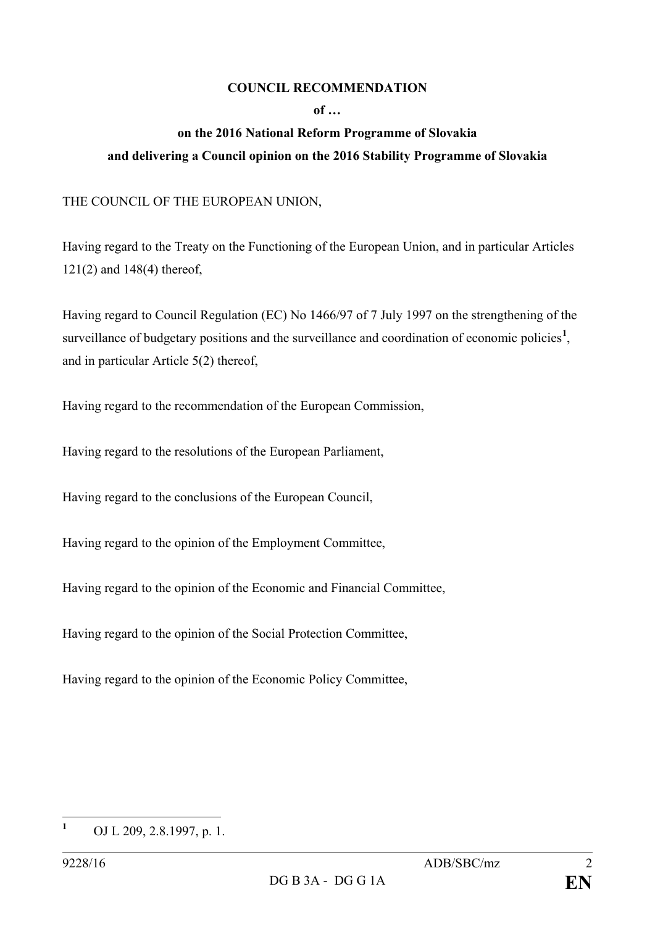## **COUNCIL RECOMMENDATION**

**of …**

## **on the 2016 National Reform Programme of Slovakia and delivering a Council opinion on the 2016 Stability Programme of Slovakia**

THE COUNCIL OF THE EUROPEAN UNION,

Having regard to the Treaty on the Functioning of the European Union, and in particular Articles 121(2) and 148(4) thereof,

Having regard to Council Regulation (EC) No 1466/97 of 7 July 1997 on the strengthening of the surveillance of budgetary positions and the surveillance and coordination of economic policies<sup>[1](#page-1-0)</sup>, and in particular Article 5(2) thereof,

Having regard to the recommendation of the European Commission,

Having regard to the resolutions of the European Parliament,

Having regard to the conclusions of the European Council,

Having regard to the opinion of the Employment Committee,

Having regard to the opinion of the Economic and Financial Committee,

Having regard to the opinion of the Social Protection Committee,

Having regard to the opinion of the Economic Policy Committee,

<span id="page-1-0"></span>**<sup>1</sup>** OJ L 209, 2.8.1997, p. 1.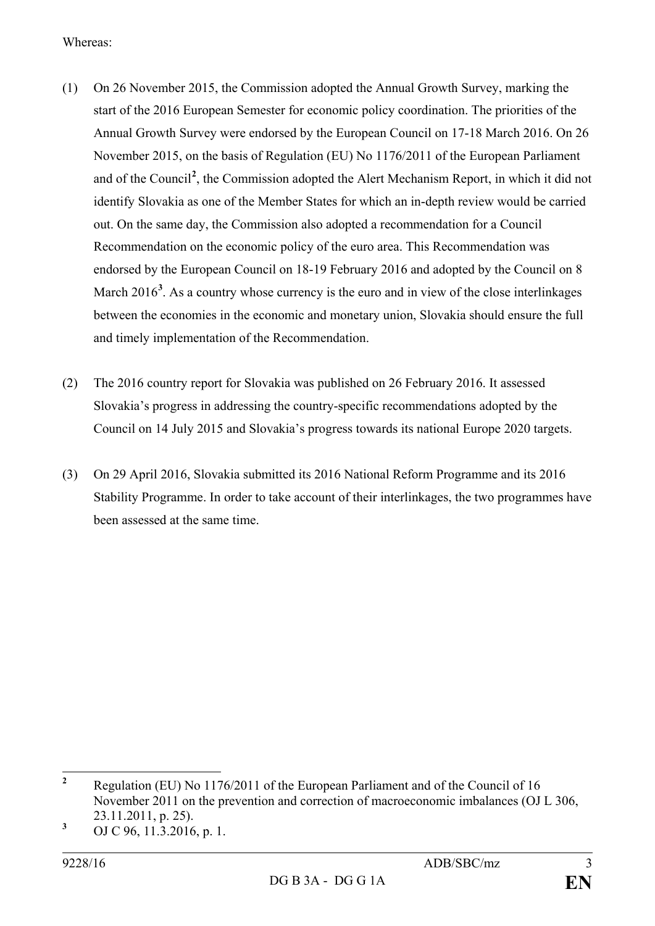Whereas:

- (1) On 26 November 2015, the Commission adopted the Annual Growth Survey, marking the start of the 2016 European Semester for economic policy coordination. The priorities of the Annual Growth Survey were endorsed by the European Council on 17-18 March 2016. On 26 November 2015, on the basis of Regulation (EU) No 1176/2011 of the European Parliament and of the Council**[2](#page-2-0)** , the Commission adopted the Alert Mechanism Report, in which it did not identify Slovakia as one of the Member States for which an in-depth review would be carried out. On the same day, the Commission also adopted a recommendation for a Council Recommendation on the economic policy of the euro area. This Recommendation was endorsed by the European Council on 18-19 February 2016 and adopted by the Council on 8 March 2016<sup>[3](#page-2-1)</sup>. As a country whose currency is the euro and in view of the close interlinkages between the economies in the economic and monetary union, Slovakia should ensure the full and timely implementation of the Recommendation.
- (2) The 2016 country report for Slovakia was published on 26 February 2016. It assessed Slovakia's progress in addressing the country-specific recommendations adopted by the Council on 14 July 2015 and Slovakia's progress towards its national Europe 2020 targets.
- (3) On 29 April 2016, Slovakia submitted its 2016 National Reform Programme and its 2016 Stability Programme. In order to take account of their interlinkages, the two programmes have been assessed at the same time.

<span id="page-2-0"></span>**<sup>2</sup>** Regulation (EU) No 1176/2011 of the European Parliament and of the Council of 16 November 2011 on the prevention and correction of macroeconomic imbalances (OJ L 306, 23.11.2011, p. 25).

<span id="page-2-1"></span>**<sup>3</sup>** OJ C 96, 11.3.2016, p. 1.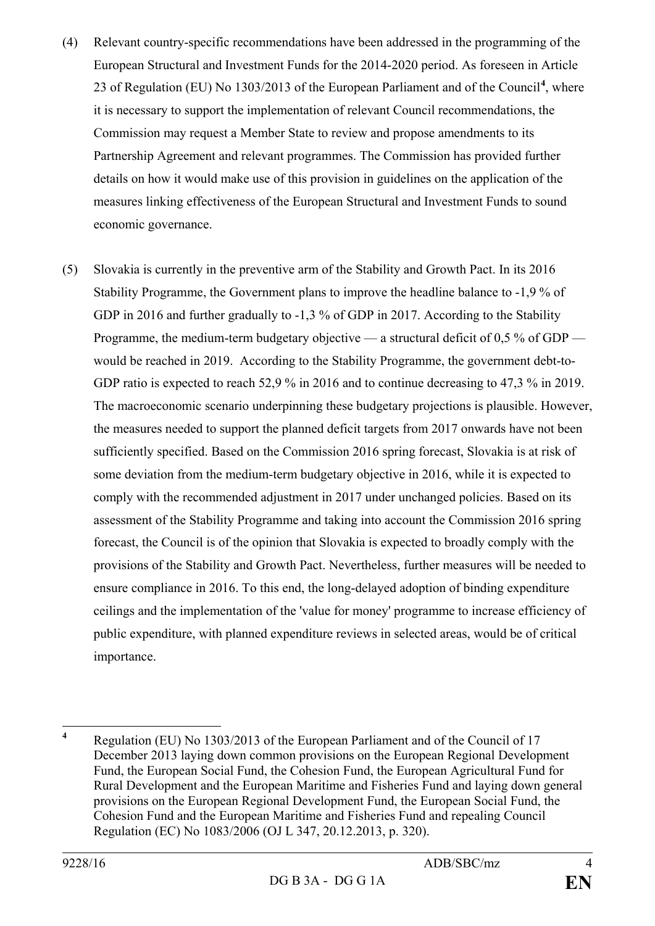- (4) Relevant country-specific recommendations have been addressed in the programming of the European Structural and Investment Funds for the 2014-2020 period. As foreseen in Article 23 of Regulation (EU) No 1303/2013 of the European Parliament and of the Council**[4](#page-3-0)** , where it is necessary to support the implementation of relevant Council recommendations, the Commission may request a Member State to review and propose amendments to its Partnership Agreement and relevant programmes. The Commission has provided further details on how it would make use of this provision in guidelines on the application of the measures linking effectiveness of the European Structural and Investment Funds to sound economic governance.
- (5) Slovakia is currently in the preventive arm of the Stability and Growth Pact. In its 2016 Stability Programme, the Government plans to improve the headline balance to -1,9 % of GDP in 2016 and further gradually to -1,3 % of GDP in 2017. According to the Stability Programme, the medium-term budgetary objective — a structural deficit of 0,5 % of GDP would be reached in 2019. According to the Stability Programme, the government debt-to-GDP ratio is expected to reach 52,9 % in 2016 and to continue decreasing to 47,3 % in 2019. The macroeconomic scenario underpinning these budgetary projections is plausible. However, the measures needed to support the planned deficit targets from 2017 onwards have not been sufficiently specified. Based on the Commission 2016 spring forecast, Slovakia is at risk of some deviation from the medium-term budgetary objective in 2016, while it is expected to comply with the recommended adjustment in 2017 under unchanged policies. Based on its assessment of the Stability Programme and taking into account the Commission 2016 spring forecast, the Council is of the opinion that Slovakia is expected to broadly comply with the provisions of the Stability and Growth Pact. Nevertheless, further measures will be needed to ensure compliance in 2016. To this end, the long-delayed adoption of binding expenditure ceilings and the implementation of the 'value for money' programme to increase efficiency of public expenditure, with planned expenditure reviews in selected areas, would be of critical importance.

<span id="page-3-0"></span>**<sup>4</sup>** Regulation (EU) No 1303/2013 of the European Parliament and of the Council of 17 December 2013 laying down common provisions on the European Regional Development Fund, the European Social Fund, the Cohesion Fund, the European Agricultural Fund for Rural Development and the European Maritime and Fisheries Fund and laying down general provisions on the European Regional Development Fund, the European Social Fund, the Cohesion Fund and the European Maritime and Fisheries Fund and repealing Council Regulation (EC) No 1083/2006 (OJ L 347, 20.12.2013, p. 320).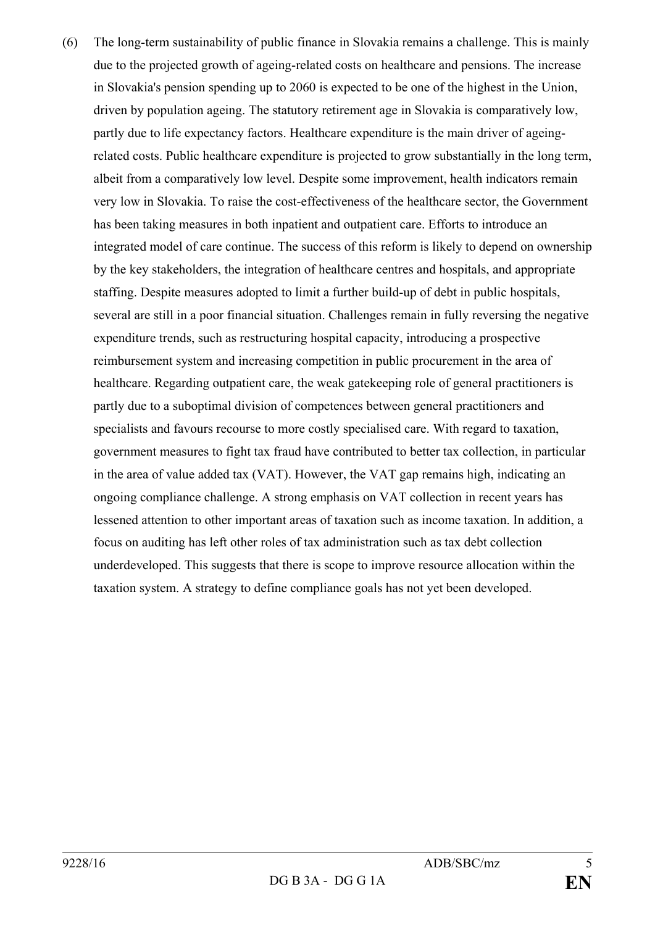(6) The long-term sustainability of public finance in Slovakia remains a challenge. This is mainly due to the projected growth of ageing-related costs on healthcare and pensions. The increase in Slovakia's pension spending up to 2060 is expected to be one of the highest in the Union, driven by population ageing. The statutory retirement age in Slovakia is comparatively low, partly due to life expectancy factors. Healthcare expenditure is the main driver of ageingrelated costs. Public healthcare expenditure is projected to grow substantially in the long term, albeit from a comparatively low level. Despite some improvement, health indicators remain very low in Slovakia. To raise the cost-effectiveness of the healthcare sector, the Government has been taking measures in both inpatient and outpatient care. Efforts to introduce an integrated model of care continue. The success of this reform is likely to depend on ownership by the key stakeholders, the integration of healthcare centres and hospitals, and appropriate staffing. Despite measures adopted to limit a further build-up of debt in public hospitals, several are still in a poor financial situation. Challenges remain in fully reversing the negative expenditure trends, such as restructuring hospital capacity, introducing a prospective reimbursement system and increasing competition in public procurement in the area of healthcare. Regarding outpatient care, the weak gatekeeping role of general practitioners is partly due to a suboptimal division of competences between general practitioners and specialists and favours recourse to more costly specialised care. With regard to taxation, government measures to fight tax fraud have contributed to better tax collection, in particular in the area of value added tax (VAT). However, the VAT gap remains high, indicating an ongoing compliance challenge. A strong emphasis on VAT collection in recent years has lessened attention to other important areas of taxation such as income taxation. In addition, a focus on auditing has left other roles of tax administration such as tax debt collection underdeveloped. This suggests that there is scope to improve resource allocation within the taxation system. A strategy to define compliance goals has not yet been developed.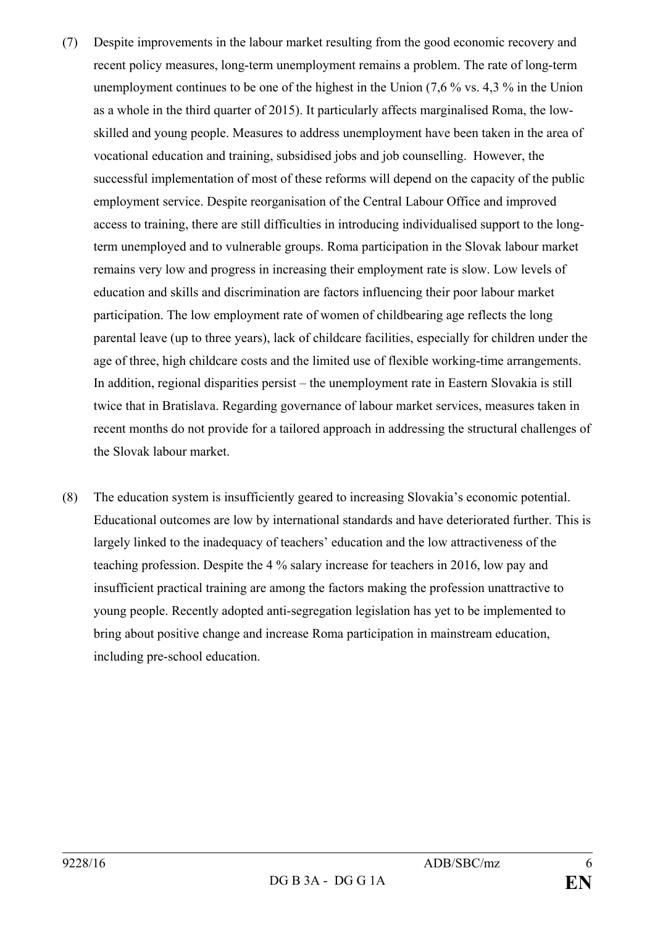- (7) Despite improvements in the labour market resulting from the good economic recovery and recent policy measures, long-term unemployment remains a problem. The rate of long-term unemployment continues to be one of the highest in the Union (7,6 % vs. 4,3 % in the Union as a whole in the third quarter of 2015). It particularly affects marginalised Roma, the lowskilled and young people. Measures to address unemployment have been taken in the area of vocational education and training, subsidised jobs and job counselling. However, the successful implementation of most of these reforms will depend on the capacity of the public employment service. Despite reorganisation of the Central Labour Office and improved access to training, there are still difficulties in introducing individualised support to the longterm unemployed and to vulnerable groups. Roma participation in the Slovak labour market remains very low and progress in increasing their employment rate is slow. Low levels of education and skills and discrimination are factors influencing their poor labour market participation. The low employment rate of women of childbearing age reflects the long parental leave (up to three years), lack of childcare facilities, especially for children under the age of three, high childcare costs and the limited use of flexible working-time arrangements. In addition, regional disparities persist – the unemployment rate in Eastern Slovakia is still twice that in Bratislava. Regarding governance of labour market services, measures taken in recent months do not provide for a tailored approach in addressing the structural challenges of the Slovak labour market.
- (8) The education system is insufficiently geared to increasing Slovakia's economic potential. Educational outcomes are low by international standards and have deteriorated further. This is largely linked to the inadequacy of teachers' education and the low attractiveness of the teaching profession. Despite the 4 % salary increase for teachers in 2016, low pay and insufficient practical training are among the factors making the profession unattractive to young people. Recently adopted anti-segregation legislation has yet to be implemented to bring about positive change and increase Roma participation in mainstream education, including pre-school education.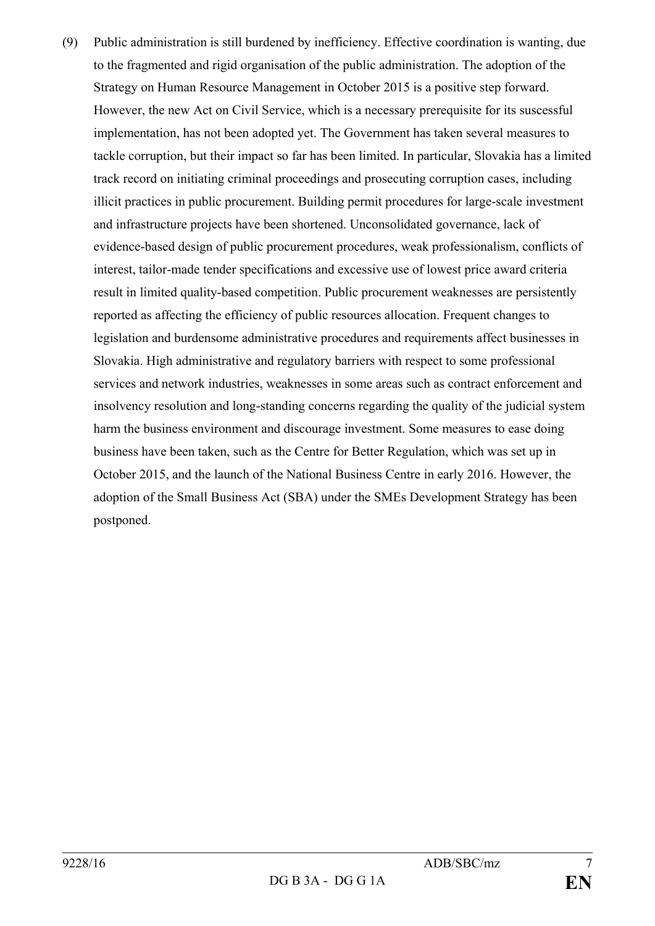(9) Public administration is still burdened by inefficiency. Effective coordination is wanting, due to the fragmented and rigid organisation of the public administration. The adoption of the Strategy on Human Resource Management in October 2015 is a positive step forward. However, the new Act on Civil Service, which is a necessary prerequisite for its suscessful implementation, has not been adopted yet. The Government has taken several measures to tackle corruption, but their impact so far has been limited. In particular, Slovakia has a limited track record on initiating criminal proceedings and prosecuting corruption cases, including illicit practices in public procurement. Building permit procedures for large-scale investment and infrastructure projects have been shortened. Unconsolidated governance, lack of evidence-based design of public procurement procedures, weak professionalism, conflicts of interest, tailor-made tender specifications and excessive use of lowest price award criteria result in limited quality-based competition. Public procurement weaknesses are persistently reported as affecting the efficiency of public resources allocation. Frequent changes to legislation and burdensome administrative procedures and requirements affect businesses in Slovakia. High administrative and regulatory barriers with respect to some professional services and network industries, weaknesses in some areas such as contract enforcement and insolvency resolution and long-standing concerns regarding the quality of the judicial system harm the business environment and discourage investment. Some measures to ease doing business have been taken, such as the Centre for Better Regulation, which was set up in October 2015, and the launch of the National Business Centre in early 2016. However, the adoption of the Small Business Act (SBA) under the SMEs Development Strategy has been postponed.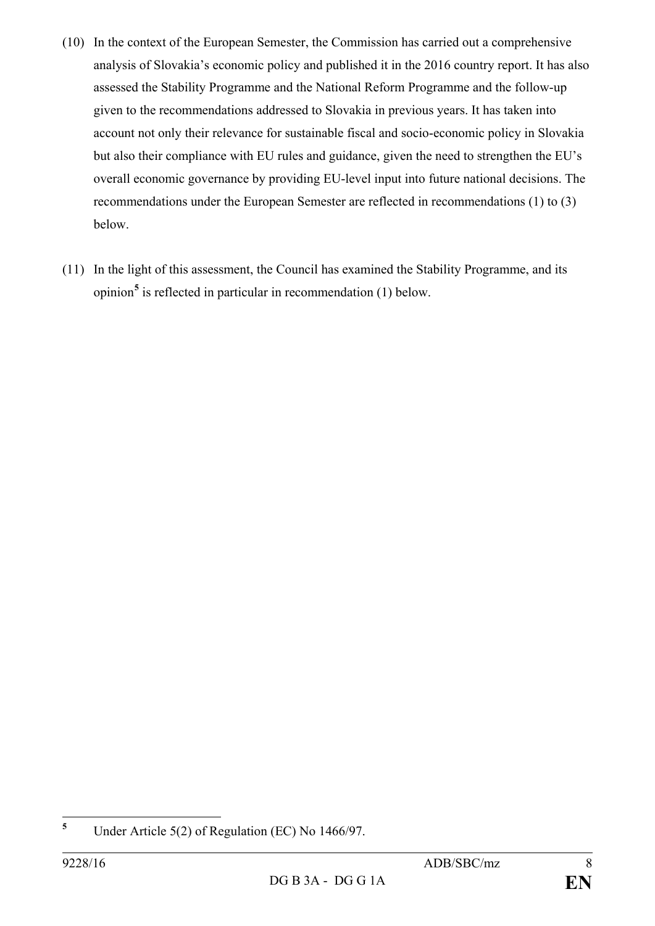- (10) In the context of the European Semester, the Commission has carried out a comprehensive analysis of Slovakia's economic policy and published it in the 2016 country report. It has also assessed the Stability Programme and the National Reform Programme and the follow-up given to the recommendations addressed to Slovakia in previous years. It has taken into account not only their relevance for sustainable fiscal and socio-economic policy in Slovakia but also their compliance with EU rules and guidance, given the need to strengthen the EU's overall economic governance by providing EU-level input into future national decisions. The recommendations under the European Semester are reflected in recommendations (1) to (3) below.
- (11) In the light of this assessment, the Council has examined the Stability Programme, and its opinion**[5](#page-7-0)** is reflected in particular in recommendation (1) below.

<span id="page-7-0"></span>**<sup>5</sup>** Under Article 5(2) of Regulation (EC) No 1466/97.